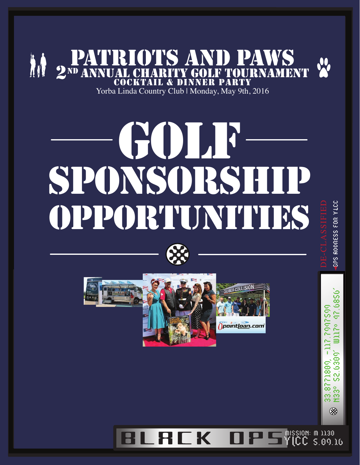

Yorba Linda Country Club | Monday, May 9th, 2016

# GOLF sponsorship opportunities





mission: m 1130<br>VICC cloor **LREK O** 5.09.16

GPS RODRESS FOR YLCC

17.6856

52.6309 71809,

 $\overline{\widetilde{\delta}}$ 33.87<br>N33º

⊗

5092509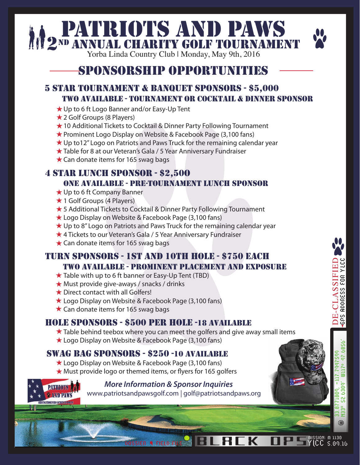# **PATRIOTS AND PAWS**<br>2<sup>ND</sup> ANNUAL CHARITY GOLF TOURNAMENT

## sponsorship opportunities

#### 5 star tournament & banquet sponsors - \$5,000 two available - tournament or cocktail & dinner sponsor

- ★ Up to 6 ft Logo Banner and/or Easy-Up Tent
- **★ 2 Golf Groups (8 Players)**
- ★ 10 Additional Tickets to Cocktail & Dinner Party Following Tournament
- ★ Prominent Logo Display on Website & Facebook Page (3,100 fans)
- ★ Up to12" Logo on Patriots and Paws Truck for the remaining calendar year
- ★ Table for 8 at our Veteran's Gala / 5 Year Anniversary Fundraiser
- $\star$  Can donate items for 165 swag bags

#### 4 star lunch sponsor - \$2,50o one available - pre-tournament lunch sponsor

- **★ Up to 6 ft Company Banner**
- $\star$  1 Golf Groups (4 Players)
- ★ 5 Additional Tickets to Cocktail & Dinner Party Following Tournament
- ★ Logo Display on Website & Facebook Page (3,100 fans)
- ★ Up to 8" Logo on Patriots and Paws Truck for the remaining calendar year
- ★ 4 Tickets to our Veteran's Gala / 5 Year Anniversary Fundraiser
- $\star$  Can donate items for 165 swag bags

#### turn sponsors - 1st and 10th hole - \$750 each two available - prominent placement and exposure

- $\star$  Table with up to 6 ft banner or Easy-Up Tent (TBD)
- $\star$  Must provide give-aways / snacks / drinks
- ★ Direct contact with all Golfers!
- ★ Logo Display on Website & Facebook Page (3,100 fans)
- $\star$  Can donate items for 165 swag bags

#### hole sponsors - \$500 per hole -18 available

- $\star$  Table behind teebox where you can meet the golfers and give away small items
- ★ Logo Display on Website & Facebook Page (3,100 fans)

#### swag bag sponsors - \$250 -10 available

- ★ Logo Display on Website & Facebook Page (3,100 fans)  $\star$  Must provide logo or themed items, or flyers for 165 golfers
- 

 *More Information & Sponsor Inquiries*  www.patriotsandpawsgolf.com | golf@patriotsandpaws.org

RI

 $\overline{\phantom{a}}$  K



DE-CLASSIFIED

DE-CLASSIFIED<br>GPS ROORESS FOR YLCC